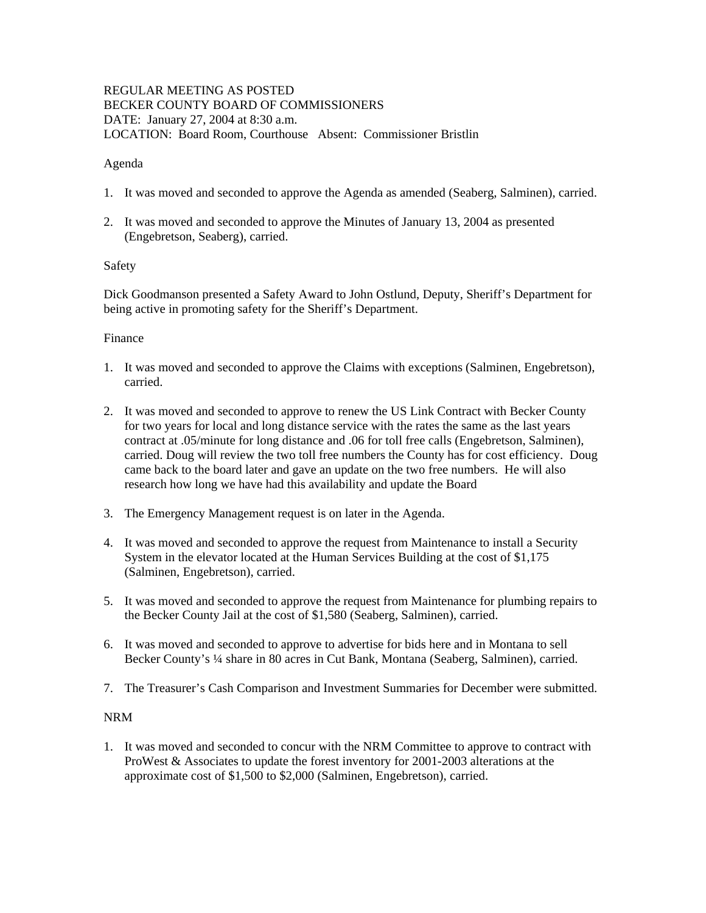## REGULAR MEETING AS POSTED BECKER COUNTY BOARD OF COMMISSIONERS DATE: January 27, 2004 at 8:30 a.m. LOCATION: Board Room, Courthouse Absent: Commissioner Bristlin

### Agenda

- 1. It was moved and seconded to approve the Agenda as amended (Seaberg, Salminen), carried.
- 2. It was moved and seconded to approve the Minutes of January 13, 2004 as presented (Engebretson, Seaberg), carried.

## Safety

Dick Goodmanson presented a Safety Award to John Ostlund, Deputy, Sheriff's Department for being active in promoting safety for the Sheriff's Department.

### Finance

- 1. It was moved and seconded to approve the Claims with exceptions (Salminen, Engebretson), carried.
- 2. It was moved and seconded to approve to renew the US Link Contract with Becker County for two years for local and long distance service with the rates the same as the last years contract at .05/minute for long distance and .06 for toll free calls (Engebretson, Salminen), carried. Doug will review the two toll free numbers the County has for cost efficiency. Doug came back to the board later and gave an update on the two free numbers. He will also research how long we have had this availability and update the Board
- 3. The Emergency Management request is on later in the Agenda.
- 4. It was moved and seconded to approve the request from Maintenance to install a Security System in the elevator located at the Human Services Building at the cost of \$1,175 (Salminen, Engebretson), carried.
- 5. It was moved and seconded to approve the request from Maintenance for plumbing repairs to the Becker County Jail at the cost of \$1,580 (Seaberg, Salminen), carried.
- 6. It was moved and seconded to approve to advertise for bids here and in Montana to sell Becker County's ¼ share in 80 acres in Cut Bank, Montana (Seaberg, Salminen), carried.
- 7. The Treasurer's Cash Comparison and Investment Summaries for December were submitted.

## NRM

1. It was moved and seconded to concur with the NRM Committee to approve to contract with ProWest & Associates to update the forest inventory for 2001-2003 alterations at the approximate cost of \$1,500 to \$2,000 (Salminen, Engebretson), carried.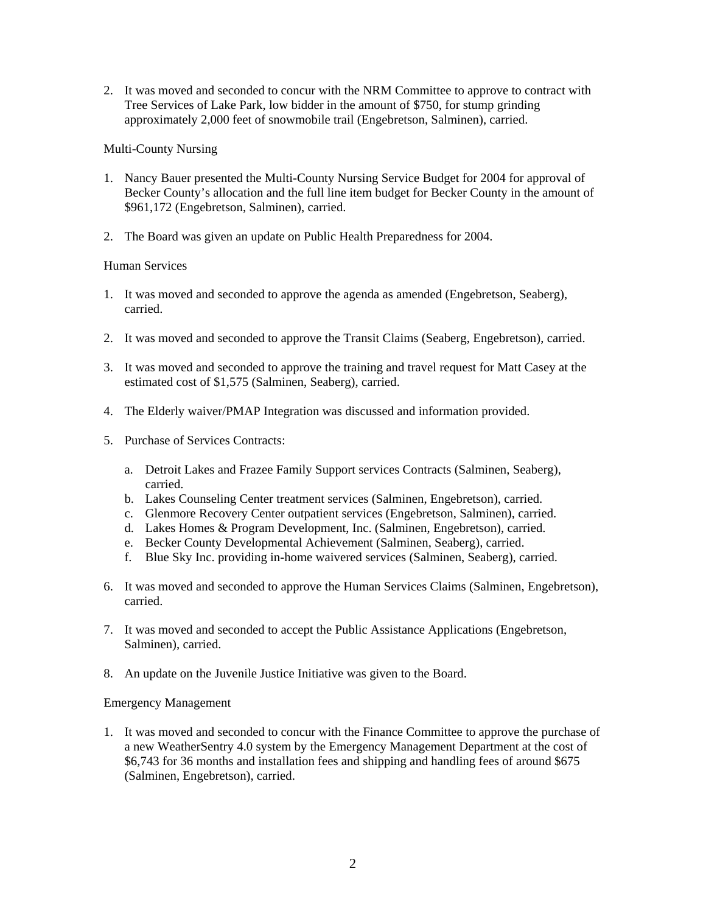2. It was moved and seconded to concur with the NRM Committee to approve to contract with Tree Services of Lake Park, low bidder in the amount of \$750, for stump grinding approximately 2,000 feet of snowmobile trail (Engebretson, Salminen), carried.

# Multi-County Nursing

- 1. Nancy Bauer presented the Multi-County Nursing Service Budget for 2004 for approval of Becker County's allocation and the full line item budget for Becker County in the amount of \$961,172 (Engebretson, Salminen), carried.
- 2. The Board was given an update on Public Health Preparedness for 2004.

# Human Services

- 1. It was moved and seconded to approve the agenda as amended (Engebretson, Seaberg), carried.
- 2. It was moved and seconded to approve the Transit Claims (Seaberg, Engebretson), carried.
- 3. It was moved and seconded to approve the training and travel request for Matt Casey at the estimated cost of \$1,575 (Salminen, Seaberg), carried.
- 4. The Elderly waiver/PMAP Integration was discussed and information provided.
- 5. Purchase of Services Contracts:
	- a. Detroit Lakes and Frazee Family Support services Contracts (Salminen, Seaberg), carried.
	- b. Lakes Counseling Center treatment services (Salminen, Engebretson), carried.
	- c. Glenmore Recovery Center outpatient services (Engebretson, Salminen), carried.
	- d. Lakes Homes & Program Development, Inc. (Salminen, Engebretson), carried.
	- e. Becker County Developmental Achievement (Salminen, Seaberg), carried.
	- f. Blue Sky Inc. providing in-home waivered services (Salminen, Seaberg), carried.
- 6. It was moved and seconded to approve the Human Services Claims (Salminen, Engebretson), carried.
- 7. It was moved and seconded to accept the Public Assistance Applications (Engebretson, Salminen), carried.
- 8. An update on the Juvenile Justice Initiative was given to the Board.

## Emergency Management

1. It was moved and seconded to concur with the Finance Committee to approve the purchase of a new WeatherSentry 4.0 system by the Emergency Management Department at the cost of \$6,743 for 36 months and installation fees and shipping and handling fees of around \$675 (Salminen, Engebretson), carried.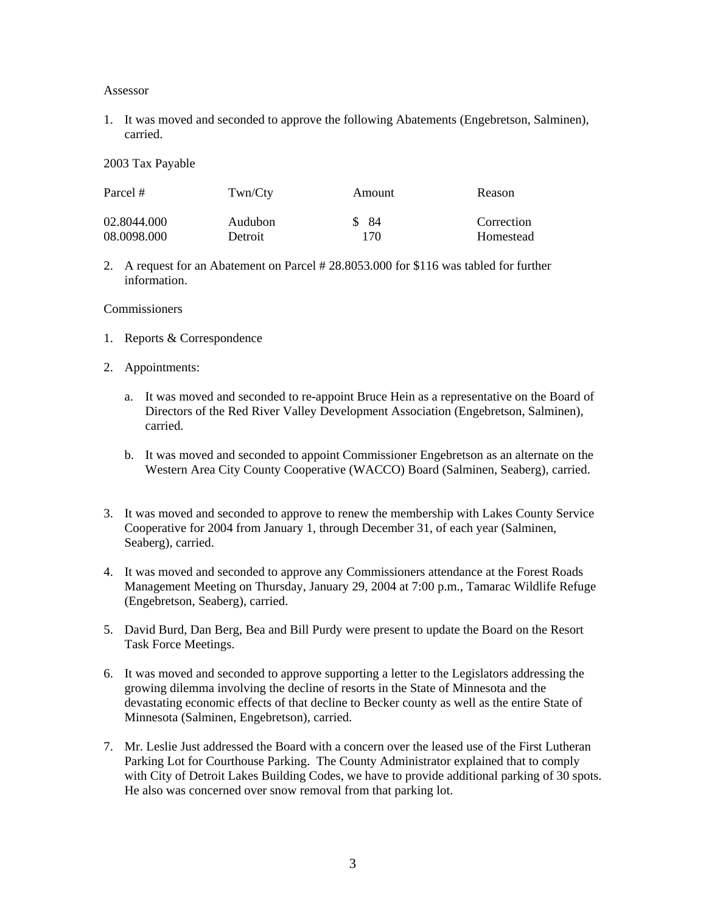#### Assessor

1. It was moved and seconded to approve the following Abatements (Engebretson, Salminen), carried.

2003 Tax Payable

| Parcel #    | Twn/Cty | Amount | Reason     |
|-------------|---------|--------|------------|
| 02.8044.000 | Audubon | \$ 84  | Correction |
| 08.0098.000 | Detroit | 170    | Homestead  |

2. A request for an Abatement on Parcel # 28.8053.000 for \$116 was tabled for further information.

#### Commissioners

- 1. Reports & Correspondence
- 2. Appointments:
	- a. It was moved and seconded to re-appoint Bruce Hein as a representative on the Board of Directors of the Red River Valley Development Association (Engebretson, Salminen), carried.
	- b. It was moved and seconded to appoint Commissioner Engebretson as an alternate on the Western Area City County Cooperative (WACCO) Board (Salminen, Seaberg), carried.
- 3. It was moved and seconded to approve to renew the membership with Lakes County Service Cooperative for 2004 from January 1, through December 31, of each year (Salminen, Seaberg), carried.
- 4. It was moved and seconded to approve any Commissioners attendance at the Forest Roads Management Meeting on Thursday, January 29, 2004 at 7:00 p.m., Tamarac Wildlife Refuge (Engebretson, Seaberg), carried.
- 5. David Burd, Dan Berg, Bea and Bill Purdy were present to update the Board on the Resort Task Force Meetings.
- 6. It was moved and seconded to approve supporting a letter to the Legislators addressing the growing dilemma involving the decline of resorts in the State of Minnesota and the devastating economic effects of that decline to Becker county as well as the entire State of Minnesota (Salminen, Engebretson), carried.
- 7. Mr. Leslie Just addressed the Board with a concern over the leased use of the First Lutheran Parking Lot for Courthouse Parking. The County Administrator explained that to comply with City of Detroit Lakes Building Codes, we have to provide additional parking of 30 spots. He also was concerned over snow removal from that parking lot.